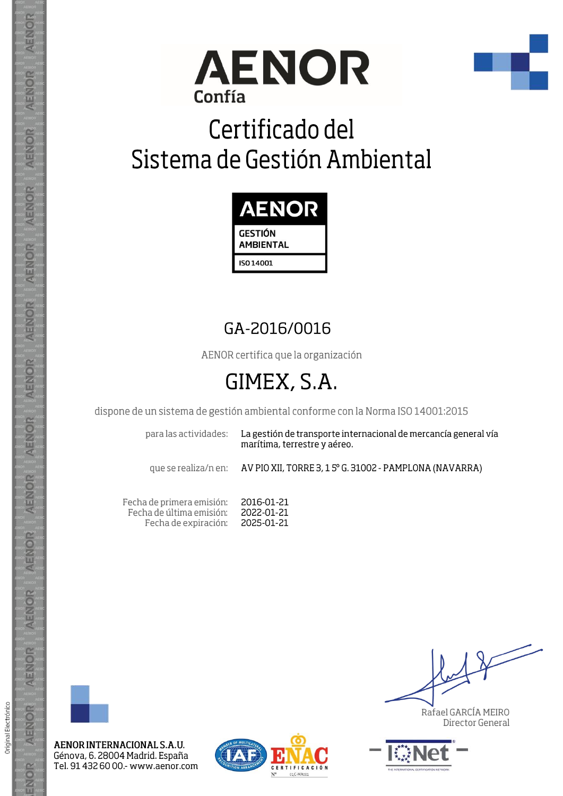



## Certificado del Sistema de Gestión Ambiental



### GA-2016/0016

AENOR certifica que la organización

## GIMEX, S.A.

dispone de un sistema de gestión ambiental conforme con la Norma ISO 14001:2015

para las actividades:

La gestión de transporte internacional de mercancía general vía marítima, terrestre y aéreo.

que se realiza/n en:

AV PIO XII, TORRE 3, 1 5° G. 31002 - PAMPLONA (NAVARRA)

Fecha de primera emisión: 2016-01-21 Fecha de última emisión: 2022-01-21 Fecha de expiración: 2025-01-21



Original Electrónico

AENOR

ENOR

AENOR INTERNACIONAL S.A.U. Génova, 6. 28004 Madrid. España Tel. 91 432 60 00 - www.aenor.com



Rafael GARCÍA MEIRO Director General